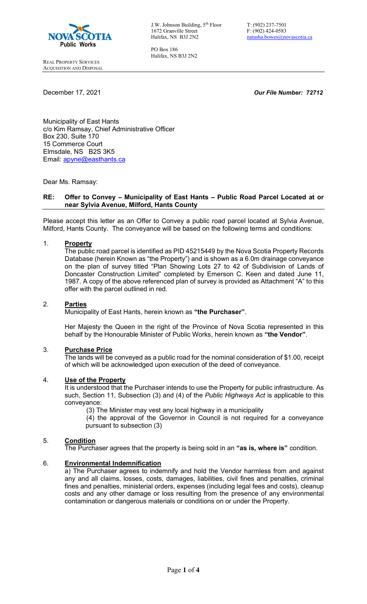

REAL PROPERTY SERVICES ACQUISITION AND DISPOSAL

J.W. Johnson Building, 5<sup>th</sup> Floor T: (902) 237-7501<br>1672 Granville Street F: (902) 424-0583 1672 Granville Street Halifax, NS B3J 2N2 [natasha.bowes@novascotia.ca](mailto:natasha.bowes@novascotia.ca)

PO Box 186 Halifax, NS B3J 2N2

December 17, 2021 *Our File Number: 72712*

Municipality of East Hants c/o Kim Ramsay, Chief Administrative Officer Box 230, Suite 170 15 Commerce Court Elmsdale, NS B2S 3K5 Email: [apyne@easthants.ca](mailto:apyne@easthants.ca)

Dear Ms. Ramsay:

### **RE: Offer to Convey – Municipality of East Hants – Public Road Parcel Located at or near Sylvia Avenue, Milford, Hants County**

Please accept this letter as an Offer to Convey a public road parcel located at Sylvia Avenue, Milford, Hants County. The conveyance will be based on the following terms and conditions:

### 1. **Property**

The public road parcel is identified as PID 45215449 by the Nova Scotia Property Records Database (herein Known as "the Property") and is shown as a 6.0m drainage conveyance on the plan of survey titled "Plan Showing Lots 27 to 42 of Subdivision of Lands of Doncaster Construction Limited" completed by Emerson C. Keen and dated June 11, 1987. A copy of the above referenced plan of survey is provided as Attachment "A" to this offer with the parcel outlined in red.

#### 2. **Parties**

Municipality of East Hants, herein known as **"the Purchaser"**.

Her Majesty the Queen in the right of the Province of Nova Scotia represented in this behalf by the Honourable Minister of Public Works, herein known as **"the Vendor"**.

#### 3. **Purchase Price**

The lands will be conveyed as a public road for the nominal consideration of \$1.00, receipt of which will be acknowledged upon execution of the deed of conveyance.

## 4. **Use of the Property**

It is understood that the Purchaser intends to use the Property for public infrastructure. As such, Section 11, Subsection (3) and (4) of the *Public Highways Act* is applicable to this conveyance:

(3) The Minister may vest any local highway in a municipality

(4) the approval of the Governor in Council is not required for a conveyance pursuant to subsection (3)

## 5. **Condition**

The Purchaser agrees that the property is being sold in an **"as is, where is"** condition.

## 6. **Environmental Indemnification**

a) The Purchaser agrees to indemnify and hold the Vendor harmless from and against any and all claims, losses, costs, damages, liabilities, civil fines and penalties, criminal fines and penalties, ministerial orders, expenses (including legal fees and costs), cleanup costs and any other damage or loss resulting from the presence of any environmental contamination or dangerous materials or conditions on or under the Property.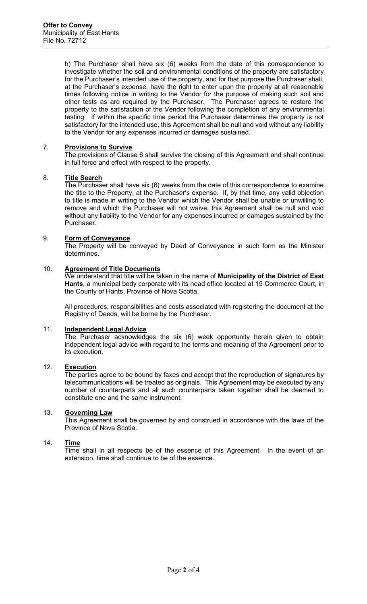b) The Purchaser shall have six (6) weeks from the date of this correspondence to investigate whether the soil and environmental conditions of the property are satisfactory for the Purchaser's intended use of the property, and for that purpose the Purchaser shall, at the Purchaser's expense, have the right to enter upon the property at all reasonable times following notice in writing to the Vendor for the purpose of making such soil and other tests as are required by the Purchaser. The Purchaser agrees to restore the property to the satisfaction of the Vendor following the completion of any environmental testing. If within the specific time period the Purchaser determines the property is not satisfactory for the intended use, this Agreement shall be null and void without any liability to the Vendor for any expenses incurred or damages sustained.

## 7. **Provisions to Survive**

The provisions of Clause 6 shall survive the closing of this Agreement and shall continue in full force and effect with respect to the property.

### 8. **Title Search**

The Purchaser shall have six (6) weeks from the date of this correspondence to examine the title to the Property, at the Purchaser's expense. If, by that time, any valid objection to title is made in writing to the Vendor which the Vendor shall be unable or unwilling to remove and which the Purchaser will not waive, this Agreement shall be null and void without any liability to the Vendor for any expenses incurred or damages sustained by the Purchaser.

### 9. **Form of Conveyance**

The Property will be conveyed by Deed of Conveyance in such form as the Minister determines.

## 10. **Agreement of Title Documents**

We understand that title will be taken in the name of **Municipality of the District of East Hants**, a municipal body corporate with its head office located at 15 Commerce Court, in the County of Hants, Province of Nova Scotia.

All procedures, responsibilities and costs associated with registering the document at the Registry of Deeds, will be borne by the Purchaser.

## 11. **Independent Legal Advice**

The Purchaser acknowledges the six (6) week opportunity herein given to obtain independent legal advice with regard to the terms and meaning of the Agreement prior to its execution.

# 12. **Execution**

The parties agree to be bound by faxes and accept that the reproduction of signatures by telecommunications will be treated as originals. This Agreement may be executed by any number of counterparts and all such counterparts taken together shall be deemed to constitute one and the same instrument.

#### 13. **Governing Law**

This Agreement shall be governed by and construed in accordance with the laws of the Province of Nova Scotia.

## 14. **Time**

Time shall in all respects be of the essence of this Agreement. In the event of an extension, time shall continue to be of the essence.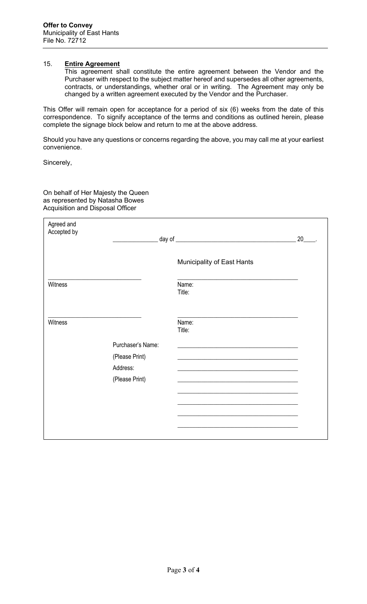## 15. **Entire Agreement**

This agreement shall constitute the entire agreement between the Vendor and the Purchaser with respect to the subject matter hereof and supersedes all other agreements, contracts, or understandings, whether oral or in writing. The Agreement may only be changed by a written agreement executed by the Vendor and the Purchaser.

This Offer will remain open for acceptance for a period of six (6) weeks from the date of this correspondence. To signify acceptance of the terms and conditions as outlined herein, please complete the signage block below and return to me at the above address.

Should you have any questions or concerns regarding the above, you may call me at your earliest convenience.

Sincerely,

On behalf of Her Majesty the Queen as represented by Natasha Bowes Acquisition and Disposal Officer

| Agreed and<br>Accepted by |                                                                   |                                                                                                                      | 20 |
|---------------------------|-------------------------------------------------------------------|----------------------------------------------------------------------------------------------------------------------|----|
|                           |                                                                   | Municipality of East Hants                                                                                           |    |
| Witness                   |                                                                   | Name:<br>Title:                                                                                                      |    |
| Witness                   |                                                                   | Name:<br>Title:                                                                                                      |    |
|                           | Purchaser's Name:<br>(Please Print)<br>Address:<br>(Please Print) | <u> 1989 - Johann John Stone, markin biskup og det ble større og de større og de større og de større og de størr</u> |    |
|                           |                                                                   |                                                                                                                      |    |